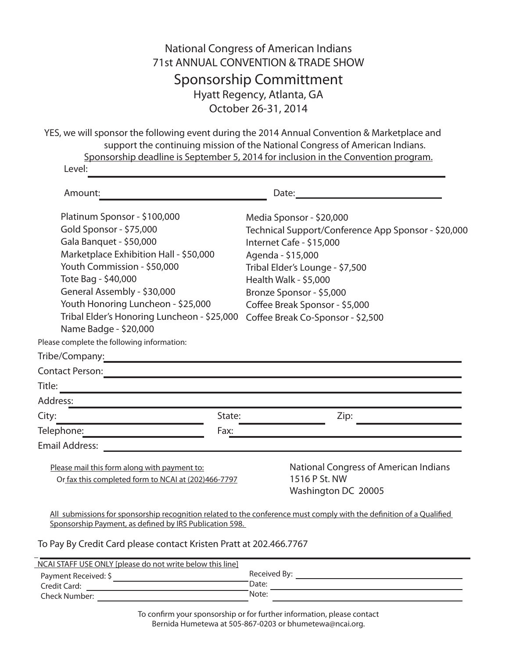## National Congress of American Indians 71st ANNUAL CONVENTION & TRADE SHOW Sponsorship Committment Hyatt Regency, Atlanta, GA October 26-31, 2014

 YES, we will sponsor the following event during the 2014 Annual Convention & Marketplace and support the continuing mission of the National Congress of American Indians. Sponsorship deadline is September 5, 2014 for inclusion in the Convention program. Level:

| Amount:                                                                                                                                                                                                                                                                                                                         | Date:                                                                                                                                                                                                                                                                                           |
|---------------------------------------------------------------------------------------------------------------------------------------------------------------------------------------------------------------------------------------------------------------------------------------------------------------------------------|-------------------------------------------------------------------------------------------------------------------------------------------------------------------------------------------------------------------------------------------------------------------------------------------------|
| Platinum Sponsor - \$100,000<br>Gold Sponsor - \$75,000<br>Gala Banquet - \$50,000<br>Marketplace Exhibition Hall - \$50,000<br>Youth Commission - \$50,000<br>Tote Bag - \$40,000<br>General Assembly - \$30,000<br>Youth Honoring Luncheon - \$25,000<br>Tribal Elder's Honoring Luncheon - \$25,000<br>Name Badge - \$20,000 | Media Sponsor - \$20,000<br>Technical Support/Conference App Sponsor - \$20,000<br>Internet Cafe - \$15,000<br>Agenda - \$15,000<br>Tribal Elder's Lounge - \$7,500<br>Health Walk - \$5,000<br>Bronze Sponsor - \$5,000<br>Coffee Break Sponsor - \$5,000<br>Coffee Break Co-Sponsor - \$2,500 |
| Please complete the following information:                                                                                                                                                                                                                                                                                      |                                                                                                                                                                                                                                                                                                 |
| Tribe/Company: 2008. [19] Tribe/Company:                                                                                                                                                                                                                                                                                        |                                                                                                                                                                                                                                                                                                 |
| <b>Contact Person:</b>                                                                                                                                                                                                                                                                                                          |                                                                                                                                                                                                                                                                                                 |
| Title:<br><u> 1989 - Johann Stoff, amerikansk politiker (d. 1989)</u>                                                                                                                                                                                                                                                           |                                                                                                                                                                                                                                                                                                 |
| Address:                                                                                                                                                                                                                                                                                                                        |                                                                                                                                                                                                                                                                                                 |
| State:<br>City:                                                                                                                                                                                                                                                                                                                 | Zip:                                                                                                                                                                                                                                                                                            |
| Telephone:<br>Fax:                                                                                                                                                                                                                                                                                                              |                                                                                                                                                                                                                                                                                                 |
| <b>Email Address:</b>                                                                                                                                                                                                                                                                                                           |                                                                                                                                                                                                                                                                                                 |
| Please mail this form along with payment to:<br>Or fax this completed form to NCAI at (202)466-7797                                                                                                                                                                                                                             | National Congress of American Indians<br>1516 P St. NW<br>Washington DC 20005                                                                                                                                                                                                                   |
| Sponsorship Payment, as defined by IRS Publication 598.                                                                                                                                                                                                                                                                         | All submissions for sponsorship recognition related to the conference must comply with the definition of a Qualified                                                                                                                                                                            |
| To Pay By Credit Card please contact Kristen Pratt at 202.466.7767                                                                                                                                                                                                                                                              |                                                                                                                                                                                                                                                                                                 |
| NCAI STAFF USE ONLY [please do not write below this line]                                                                                                                                                                                                                                                                       |                                                                                                                                                                                                                                                                                                 |

| NCAI STAFF USE ONLY [please do not write below this line] |              |
|-----------------------------------------------------------|--------------|
| Payment Received: \$                                      | Received By: |
| Credit Card:                                              | Date:        |
| <b>Check Number:</b>                                      | Note:        |

To confirm your sponsorship or for further information, please contact Bernida Humetewa at 505-867-0203 or bhumetewa@ncai.org.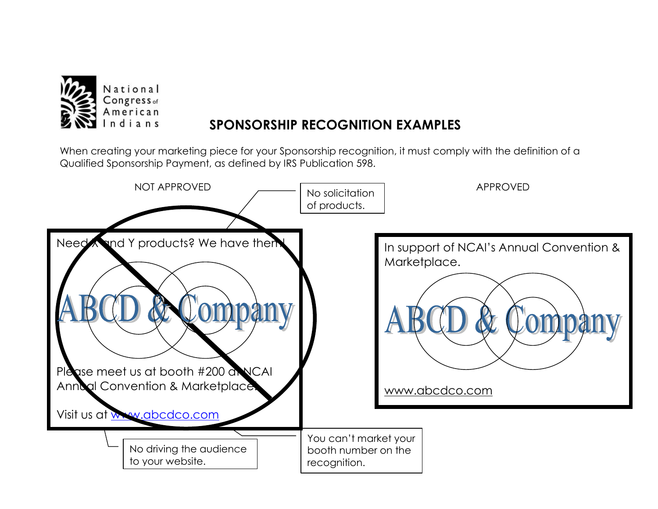

## **SPONSORSHIP RECOGNITION EXAMPLES**

When creating your marketing piece for your Sponsorship recognition, it must comply with the definition of a Qualified Sponsorship Payment, as defined by IRS Publication 598.